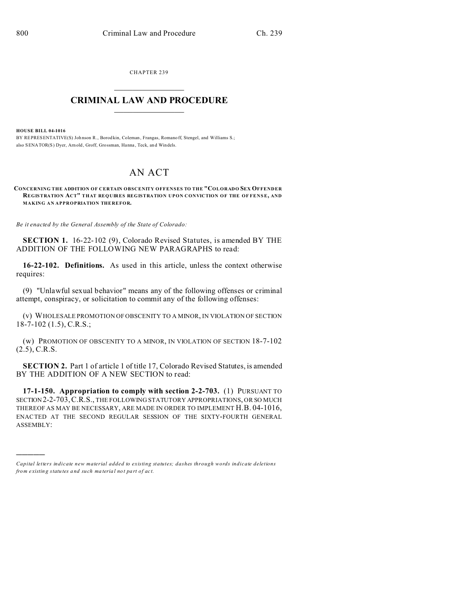CHAPTER 239  $\overline{\phantom{a}}$  , where  $\overline{\phantom{a}}$ 

## **CRIMINAL LAW AND PROCEDURE**  $\_$   $\_$   $\_$   $\_$   $\_$   $\_$   $\_$   $\_$   $\_$

**HOUSE BILL 04-1016**

)))))

BY REPRESENTATIVE(S) Johnson R., Borodkin, Coleman, Frangas, Romano ff, Stengel, and Williams S.; also SENATOR(S) Dyer, Arn old, Groff, Grossman, Hanna, Teck, and Windels.

## AN ACT

**CONCERNING THE ADDITION OF CERTAIN OBSCENITY OFFENSES TO THE "COLORADO SEX OFFENDER REGISTRATION ACT" THAT REQUIRES REGISTRATION UPON CONVICTION OF THE OF FENSE, AND MAKING AN APPROPRIATION THEREFOR.**

*Be it enacted by the General Assembly of the State of Colorado:*

**SECTION 1.** 16-22-102 (9), Colorado Revised Statutes, is amended BY THE ADDITION OF THE FOLLOWING NEW PARAGRAPHS to read:

**16-22-102. Definitions.** As used in this article, unless the context otherwise requires:

(9) "Unlawful sexual behavior" means any of the following offenses or criminal attempt, conspiracy, or solicitation to commit any of the following offenses:

(v) WHOLESALE PROMOTION OF OBSCENITY TO A MINOR, IN VIOLATION OF SECTION 18-7-102 (1.5), C.R.S.;

(w) PROMOTION OF OBSCENITY TO A MINOR, IN VIOLATION OF SECTION 18-7-102 (2.5), C.R.S.

**SECTION 2.** Part 1 of article 1 of title 17, Colorado Revised Statutes, is amended BY THE ADDITION OF A NEW SECTION to read:

**17-1-150. Appropriation to comply with section 2-2-703.** (1) PURSUANT TO SECTION 2-2-703,C.R.S., THE FOLLOWING STATUTORY APPROPRIATIONS, OR SO MUCH THEREOF AS MAY BE NECESSARY, ARE MADE IN ORDER TO IMPLEMENT H.B. 04-1016, ENACTED AT THE SECOND REGULAR SESSION OF THE SIXTY-FOURTH GENERAL ASSEMBLY:

*Capital letters indicate new material added to existing statutes; dashes through words indicate deletions from e xistin g statu tes a nd such ma teria l no t pa rt of ac t.*